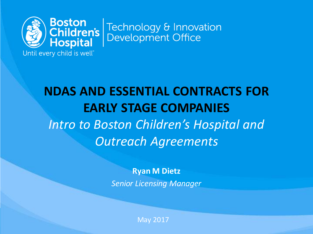

Technology & Innovation **Development Office** 

Until every child is well"

# **NDAS AND ESSENTIAL CONTRACTS FOR EARLY STAGE COMPANIES** *Intro to Boston Children's Hospital and Outreach Agreements*

**Ryan M Dietz** *Senior Licensing Manager*

May 2017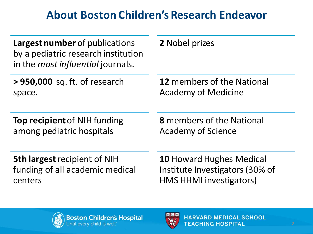## **About Boston Children's Research Endeavor**

| <b>Largest number</b> of publications<br>by a pediatric research institution<br>in the <i>most influential</i> journals. | 2 Nobel prizes                    |
|--------------------------------------------------------------------------------------------------------------------------|-----------------------------------|
| > 950,000 sq. ft. of research                                                                                            | <b>12</b> members of the National |
| space.                                                                                                                   | <b>Academy of Medicine</b>        |
| <b>Top recipient of NIH funding</b>                                                                                      | <b>8</b> members of the National  |
| among pediatric hospitals                                                                                                | <b>Academy of Science</b>         |
| <b>5th largest recipient of NIH</b>                                                                                      | <b>10 Howard Hughes Medical</b>   |
| funding of all academic medical                                                                                          | Institute Investigators (30% of   |
| centers                                                                                                                  | <b>HMS HHMI investigators)</b>    |



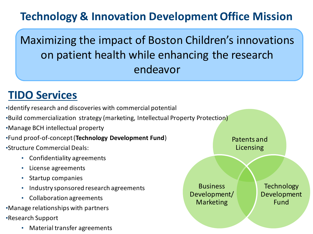## **Technology & Innovation Development Office Mission**

Maximizing the impact of Boston Children's innovations on patient health while enhancing the research endeavor

#### **TIDO Services**

- •Identify research and discoveries with commercial potential
- •Build commercialization strategy (marketing, Intellectual Property Protection)
- •Manage BCH intellectual property
- •Fund proof-of-concept (**Technology Development Fund**)
- •Structure Commercial Deals:
	- Confidentiality agreements
	- License agreements
	- Startup companies
	- Industry sponsored research agreements
	- Collaboration agreements
- •Manage relationships with partners
- •Research Support
	- Material transfer agreements

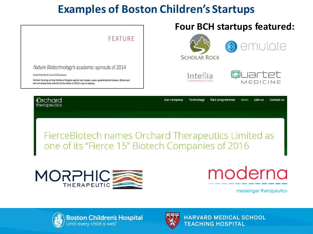## **Examples of Boston Children's Startups**



one of its "Fierce 15" Biotech Companies of 2016



# moderna

messenger therapeutics



**Boston Children's Hospital**<br>Until every child is well<sup>-</sup>



**HARVARD MEDICAL SCHOOL TEACHING HOSPITAL**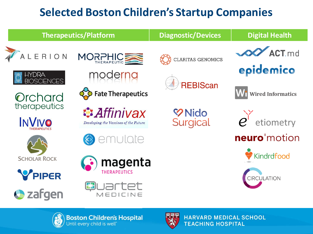# **Selected Boston Children's Startup Companies**





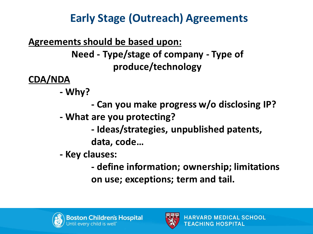# **Early Stage (Outreach) Agreements**

#### **Agreements should be based upon:**

**Need - Type/stage of company - Type of produce/technology**

**CDA/NDA**

- **- Why?** 
	- **- Can you make progress w/o disclosing IP?**
- **- What are you protecting?**
	- **- Ideas/strategies, unpublished patents, data, code…**
- **- Key clauses:**
	- **- define information; ownership; limitations on use; exceptions; term and tail.**